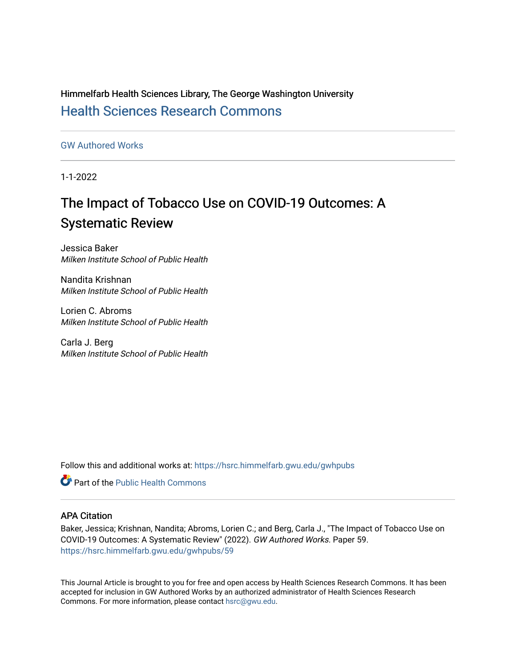Himmelfarb Health Sciences Library, The George Washington University [Health Sciences Research Commons](https://hsrc.himmelfarb.gwu.edu/) 

[GW Authored Works](https://hsrc.himmelfarb.gwu.edu/gwhpubs)

1-1-2022

# The Impact of Tobacco Use on COVID-19 Outcomes: A Systematic Review

Jessica Baker Milken Institute School of Public Health

Nandita Krishnan Milken Institute School of Public Health

Lorien C. Abroms Milken Institute School of Public Health

Carla J. Berg Milken Institute School of Public Health

Follow this and additional works at: [https://hsrc.himmelfarb.gwu.edu/gwhpubs](https://hsrc.himmelfarb.gwu.edu/gwhpubs?utm_source=hsrc.himmelfarb.gwu.edu%2Fgwhpubs%2F59&utm_medium=PDF&utm_campaign=PDFCoverPages)

**C** Part of the Public Health Commons

## APA Citation

Baker, Jessica; Krishnan, Nandita; Abroms, Lorien C.; and Berg, Carla J., "The Impact of Tobacco Use on COVID-19 Outcomes: A Systematic Review" (2022). GW Authored Works. Paper 59. [https://hsrc.himmelfarb.gwu.edu/gwhpubs/59](https://hsrc.himmelfarb.gwu.edu/gwhpubs/59?utm_source=hsrc.himmelfarb.gwu.edu%2Fgwhpubs%2F59&utm_medium=PDF&utm_campaign=PDFCoverPages) 

This Journal Article is brought to you for free and open access by Health Sciences Research Commons. It has been accepted for inclusion in GW Authored Works by an authorized administrator of Health Sciences Research Commons. For more information, please contact [hsrc@gwu.edu](mailto:hsrc@gwu.edu).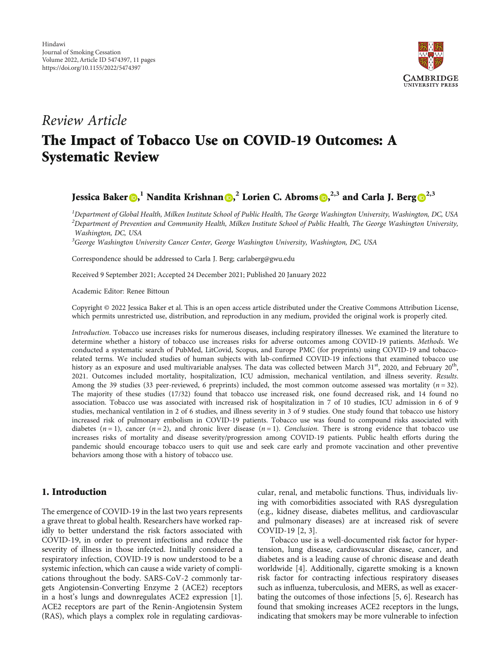

## Review Article

## The Impact of Tobacco Use on COVID-19 Outcomes: A Systematic Review

## Jessica Baker **.** <sup>1</sup> Nandita Krishnan **.** <sup>2</sup> Lorien C. Abroms **0**[,](https://orcid.org/0000-0003-4957-2061)<sup>2,3</sup> and Carla J. Berg  $\bullet^{2,3}$

 $^1$ Department of Global Health, Milken Institute School of Public Health, The George Washington University, Washington, DC, USA  $^2$ Department of Prevention and Community Health, Milken Institute School of Public Health, The George Washington University, Washington, DC, USA

<sup>3</sup>George Washington University Cancer Center, George Washington University, Washington, DC, USA

Correspondence should be addressed to Carla J. Berg; carlaberg@gwu.edu

Received 9 September 2021; Accepted 24 December 2021; Published 20 January 2022

Academic Editor: Renee Bittoun

Copyright © 2022 Jessica Baker et al. This is an open access article distributed under the [Creative Commons Attribution License](https://creativecommons.org/licenses/by/4.0/), which permits unrestricted use, distribution, and reproduction in any medium, provided the original work is properly cited.

Introduction. Tobacco use increases risks for numerous diseases, including respiratory illnesses. We examined the literature to determine whether a history of tobacco use increases risks for adverse outcomes among COVID-19 patients. Methods. We conducted a systematic search of PubMed, LitCovid, Scopus, and Europe PMC (for preprints) using COVID-19 and tobaccorelated terms. We included studies of human subjects with lab-confirmed COVID-19 infections that examined tobacco use history as an exposure and used multivariable analyses. The data was collected between March  $31<sup>st</sup>$ , 2020, and February  $20<sup>th</sup>$ , 2021. Outcomes included mortality, hospitalization, ICU admission, mechanical ventilation, and illness severity. Results. Among the 39 studies (33 peer-reviewed, 6 preprints) included, the most common outcome assessed was mortality  $(n = 32)$ . The majority of these studies (17/32) found that tobacco use increased risk, one found decreased risk, and 14 found no association. Tobacco use was associated with increased risk of hospitalization in 7 of 10 studies, ICU admission in 6 of 9 studies, mechanical ventilation in 2 of 6 studies, and illness severity in 3 of 9 studies. One study found that tobacco use history increased risk of pulmonary embolism in COVID-19 patients. Tobacco use was found to compound risks associated with diabetes  $(n=1)$ , cancer  $(n=2)$ , and chronic liver disease  $(n=1)$ . Conclusion. There is strong evidence that tobacco use increases risks of mortality and disease severity/progression among COVID-19 patients. Public health efforts during the pandemic should encourage tobacco users to quit use and seek care early and promote vaccination and other preventive behaviors among those with a history of tobacco use.

## 1. Introduction

The emergence of COVID-19 in the last two years represents a grave threat to global health. Researchers have worked rapidly to better understand the risk factors associated with COVID-19, in order to prevent infections and reduce the severity of illness in those infected. Initially considered a respiratory infection, COVID-19 is now understood to be a systemic infection, which can cause a wide variety of complications throughout the body. SARS-CoV-2 commonly targets Angiotensin-Converting Enzyme 2 (ACE2) receptors in a host's lungs and downregulates ACE2 expression [[1](#page-9-0)]. ACE2 receptors are part of the Renin-Angiotensin System (RAS), which plays a complex role in regulating cardiovascular, renal, and metabolic functions. Thus, individuals living with comorbidities associated with RAS dysregulation (e.g., kidney disease, diabetes mellitus, and cardiovascular and pulmonary diseases) are at increased risk of severe COVID-19 [\[2, 3\]](#page-9-0).

Tobacco use is a well-documented risk factor for hypertension, lung disease, cardiovascular disease, cancer, and diabetes and is a leading cause of chronic disease and death worldwide [\[4\]](#page-9-0). Additionally, cigarette smoking is a known risk factor for contracting infectious respiratory diseases such as influenza, tuberculosis, and MERS, as well as exacerbating the outcomes of those infections [[5](#page-9-0), [6](#page-9-0)]. Research has found that smoking increases ACE2 receptors in the lungs, indicating that smokers may be more vulnerable to infection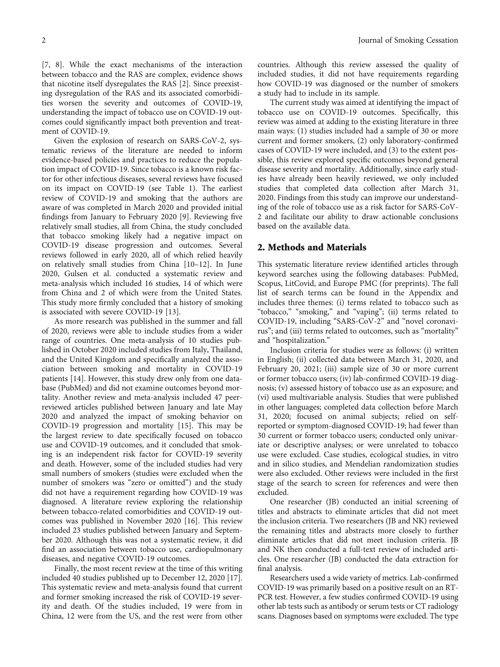[\[7](#page-9-0), [8](#page-9-0)]. While the exact mechanisms of the interaction between tobacco and the RAS are complex, evidence shows that nicotine itself dysregulates the RAS [\[2](#page-9-0)]. Since preexisting dysregulation of the RAS and its associated comorbidities worsen the severity and outcomes of COVID-19, understanding the impact of tobacco use on COVID-19 outcomes could significantly impact both prevention and treatment of COVID-19.

Given the explosion of research on SARS-CoV-2, systematic reviews of the literature are needed to inform evidence-based policies and practices to reduce the population impact of COVID-19. Since tobacco is a known risk factor for other infectious diseases, several reviews have focused on its impact on COVID-19 (see Table [1](#page-3-0)). The earliest review of COVID-19 and smoking that the authors are aware of was completed in March 2020 and provided initial findings from January to February 2020 [[9\]](#page-9-0). Reviewing five relatively small studies, all from China, the study concluded that tobacco smoking likely had a negative impact on COVID-19 disease progression and outcomes. Several reviews followed in early 2020, all of which relied heavily on relatively small studies from China [[10](#page-9-0)–[12](#page-9-0)]. In June 2020, Gulsen et al. conducted a systematic review and meta-analysis which included 16 studies, 14 of which were from China and 2 of which were from the United States. This study more firmly concluded that a history of smoking is associated with severe COVID-19 [[13](#page-9-0)].

As more research was published in the summer and fall of 2020, reviews were able to include studies from a wider range of countries. One meta-analysis of 10 studies published in October 2020 included studies from Italy, Thailand, and the United Kingdom and specifically analyzed the association between smoking and mortality in COVID-19 patients [[14](#page-9-0)]. However, this study drew only from one database (PubMed) and did not examine outcomes beyond mortality. Another review and meta-analysis included 47 peerreviewed articles published between January and late May 2020 and analyzed the impact of smoking behavior on COVID-19 progression and mortality [[15](#page-9-0)]. This may be the largest review to date specifically focused on tobacco use and COVID-19 outcomes, and it concluded that smoking is an independent risk factor for COVID-19 severity and death. However, some of the included studies had very small numbers of smokers (studies were excluded when the number of smokers was "zero or omitted") and the study did not have a requirement regarding how COVID-19 was diagnosed. A literature review exploring the relationship between tobacco-related comorbidities and COVID-19 outcomes was published in November 2020 [\[16](#page-9-0)]. This review included 23 studies published between January and September 2020. Although this was not a systematic review, it did find an association between tobacco use, cardiopulmonary diseases, and negative COVID-19 outcomes.

Finally, the most recent review at the time of this writing included 40 studies published up to December 12, 2020 [[17](#page-9-0)]. This systematic review and meta-analysis found that current and former smoking increased the risk of COVID-19 severity and death. Of the studies included, 19 were from in China, 12 were from the US, and the rest were from other

countries. Although this review assessed the quality of included studies, it did not have requirements regarding how COVID-19 was diagnosed or the number of smokers a study had to include in its sample.

The current study was aimed at identifying the impact of tobacco use on COVID-19 outcomes. Specifically, this review was aimed at adding to the existing literature in three main ways: (1) studies included had a sample of 30 or more current and former smokers, (2) only laboratory-confirmed cases of COVID-19 were included, and (3) to the extent possible, this review explored specific outcomes beyond general disease severity and mortality. Additionally, since early studies have already been heavily reviewed, we only included studies that completed data collection after March 31, 2020. Findings from this study can improve our understanding of the role of tobacco use as a risk factor for SARS-CoV-2 and facilitate our ability to draw actionable conclusions based on the available data.

## 2. Methods and Materials

This systematic literature review identified articles through keyword searches using the following databases: PubMed, Scopus, LitCovid, and Europe PMC (for preprints). The full list of search terms can be found in the Appendix and includes three themes: (i) terms related to tobacco such as "tobacco," "smoking," and "vaping"; (ii) terms related to COVID-19, including "SARS-CoV-2" and "novel coronavirus"; and (iii) terms related to outcomes, such as "mortality" and "hospitalization."

Inclusion criteria for studies were as follows: (i) written in English; (ii) collected data between March 31, 2020, and February 20, 2021; (iii) sample size of 30 or more current or former tobacco users; (iv) lab-confirmed COVID-19 diagnosis; (v) assessed history of tobacco use as an exposure; and (vi) used multivariable analysis. Studies that were published in other languages; completed data collection before March 31, 2020; focused on animal subjects; relied on selfreported or symptom-diagnosed COVID-19; had fewer than 30 current or former tobacco users; conducted only univariate or descriptive analyses; or were unrelated to tobacco use were excluded. Case studies, ecological studies, in vitro and in silico studies, and Mendelian randomization studies were also excluded. Other reviews were included in the first stage of the search to screen for references and were then excluded.

One researcher (JB) conducted an initial screening of titles and abstracts to eliminate articles that did not meet the inclusion criteria. Two researchers (JB and NK) reviewed the remaining titles and abstracts more closely to further eliminate articles that did not meet inclusion criteria. JB and NK then conducted a full-text review of included articles. One researcher (JB) conducted the data extraction for final analysis.

Researchers used a wide variety of metrics. Lab-confirmed COVID-19 was primarily based on a positive result on an RT-PCR test. However, a few studies confirmed COVID-19 using other lab tests such as antibody or serum tests or CT radiology scans. Diagnoses based on symptoms were excluded. The type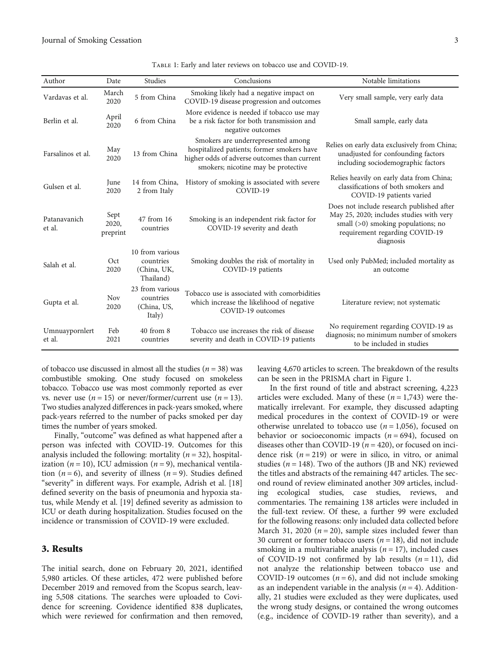<span id="page-3-0"></span>

| Author                   | Date                      | Studies                                                  | Conclusions                                                                                                                                                             | Notable limitations                                                                                                                                                          |
|--------------------------|---------------------------|----------------------------------------------------------|-------------------------------------------------------------------------------------------------------------------------------------------------------------------------|------------------------------------------------------------------------------------------------------------------------------------------------------------------------------|
| Vardavas et al.          | March<br>2020             | 5 from China                                             | Smoking likely had a negative impact on<br>COVID-19 disease progression and outcomes                                                                                    | Very small sample, very early data                                                                                                                                           |
| Berlin et al.            | April<br>2020             | 6 from China                                             | More evidence is needed if tobacco use may<br>be a risk factor for both transmission and<br>negative outcomes                                                           | Small sample, early data                                                                                                                                                     |
| Farsalinos et al.        | May<br>2020               | 13 from China                                            | Smokers are underrepresented among<br>hospitalized patients; former smokers have<br>higher odds of adverse outcomes than current<br>smokers; nicotine may be protective | Relies on early data exclusively from China;<br>unadjusted for confounding factors<br>including sociodemographic factors                                                     |
| Gulsen et al.            | June<br>2020              | 14 from China,<br>2 from Italy                           | History of smoking is associated with severe<br>COVID-19                                                                                                                | Relies heavily on early data from China;<br>classifications of both smokers and<br>COVID-19 patients varied                                                                  |
| Patanavanich<br>et al.   | Sept<br>2020,<br>preprint | 47 from 16<br>countries                                  | Smoking is an independent risk factor for<br>COVID-19 severity and death                                                                                                | Does not include research published after<br>May 25, 2020; includes studies with very<br>small $(>0)$ smoking populations; no<br>requirement regarding COVID-19<br>diagnosis |
| Salah et al.             | Oct<br>2020               | 10 from various<br>countries<br>(China, UK,<br>Thailand) | Smoking doubles the risk of mortality in<br>COVID-19 patients                                                                                                           | Used only PubMed; included mortality as<br>an outcome                                                                                                                        |
| Gupta et al.             | <b>Nov</b><br>2020        | 23 from various<br>countries<br>(China, US,<br>Italy)    | Tobacco use is associated with comorbidities<br>which increase the likelihood of negative<br>COVID-19 outcomes                                                          | Literature review; not systematic                                                                                                                                            |
| Umnuaypornlert<br>et al. | Feb<br>2021               | $40$ from $8$<br>countries                               | Tobacco use increases the risk of disease<br>severity and death in COVID-19 patients                                                                                    | No requirement regarding COVID-19 as<br>diagnosis; no minimum number of smokers<br>to be included in studies                                                                 |

Table 1: Early and later reviews on tobacco use and COVID-19.

of tobacco use discussed in almost all the studies (*n* = 38) was combustible smoking. One study focused on smokeless tobacco. Tobacco use was most commonly reported as ever vs. never use  $(n = 15)$  or never/former/current use  $(n = 13)$ . Two studies analyzed differences in pack-years smoked, where pack-years referred to the number of packs smoked per day times the number of years smoked.

Finally, "outcome" was defined as what happened after a person was infected with COVID-19. Outcomes for this analysis included the following: mortality (*n* = 32), hospitalization  $(n = 10)$ , ICU admission  $(n = 9)$ , mechanical ventilation  $(n = 6)$ , and severity of illness  $(n = 9)$ . Studies defined "severity" in different ways. For example, Adrish et al. [[18\]](#page-9-0) defined severity on the basis of pneumonia and hypoxia status, while Mendy et al. [\[19\]](#page-9-0) defined severity as admission to ICU or death during hospitalization. Studies focused on the incidence or transmission of COVID-19 were excluded.

## 3. Results

The initial search, done on February 20, 2021, identified 5,980 articles. Of these articles, 472 were published before December 2019 and removed from the Scopus search, leaving 5,508 citations. The searches were uploaded to Covidence for screening. Covidence identified 838 duplicates, which were reviewed for confirmation and then removed, leaving 4,670 articles to screen. The breakdown of the results can be seen in the PRISMA chart in Figure [1](#page-4-0).

In the first round of title and abstract screening, 4,223 articles were excluded. Many of these  $(n = 1,743)$  were thematically irrelevant. For example, they discussed adapting medical procedures in the context of COVID-19 or were otherwise unrelated to tobacco use  $(n = 1,056)$ , focused on behavior or socioeconomic impacts  $(n = 694)$ , focused on diseases other than COVID-19 ( $n = 420$ ), or focused on incidence risk  $(n = 219)$  or were in silico, in vitro, or animal studies ( $n = 148$ ). Two of the authors (JB and NK) reviewed the titles and abstracts of the remaining 447 articles. The second round of review eliminated another 309 articles, including ecological studies, case studies, reviews, and commentaries. The remaining 138 articles were included in the full-text review. Of these, a further 99 were excluded for the following reasons: only included data collected before March 31, 2020 ( $n = 20$ ), sample sizes included fewer than 30 current or former tobacco users  $(n = 18)$ , did not include smoking in a multivariable analysis  $(n = 17)$ , included cases of COVID-19 not confirmed by lab results  $(n = 11)$ , did not analyze the relationship between tobacco use and COVID-19 outcomes  $(n = 6)$ , and did not include smoking as an independent variable in the analysis  $(n = 4)$ . Additionally, 21 studies were excluded as they were duplicates, used the wrong study designs, or contained the wrong outcomes (e.g., incidence of COVID-19 rather than severity), and a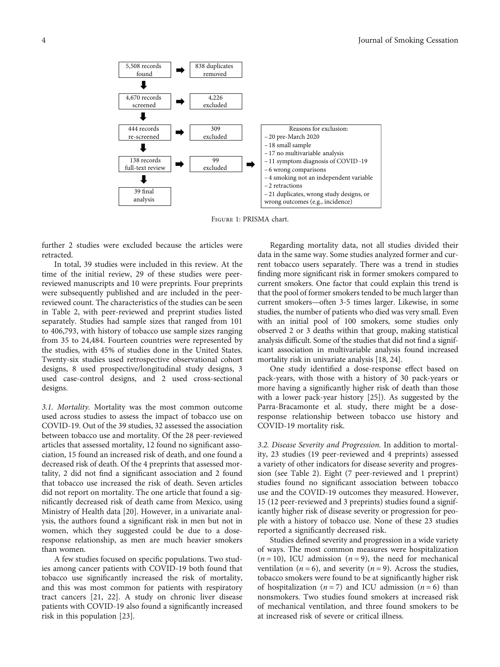<span id="page-4-0"></span>

Figure 1: PRISMA chart.

further 2 studies were excluded because the articles were retracted.

In total, 39 studies were included in this review. At the time of the initial review, 29 of these studies were peerreviewed manuscripts and 10 were preprints. Four preprints were subsequently published and are included in the peerreviewed count. The characteristics of the studies can be seen in Table [2](#page-5-0), with peer-reviewed and preprint studies listed separately. Studies had sample sizes that ranged from 101 to 406,793, with history of tobacco use sample sizes ranging from 35 to 24,484. Fourteen countries were represented by the studies, with 45% of studies done in the United States. Twenty-six studies used retrospective observational cohort designs, 8 used prospective/longitudinal study designs, 3 used case-control designs, and 2 used cross-sectional designs.

3.1. Mortality. Mortality was the most common outcome used across studies to assess the impact of tobacco use on COVID-19. Out of the 39 studies, 32 assessed the association between tobacco use and mortality. Of the 28 peer-reviewed articles that assessed mortality, 12 found no significant association, 15 found an increased risk of death, and one found a decreased risk of death. Of the 4 preprints that assessed mortality, 2 did not find a significant association and 2 found that tobacco use increased the risk of death. Seven articles did not report on mortality. The one article that found a significantly decreased risk of death came from Mexico, using Ministry of Health data [[20\]](#page-9-0). However, in a univariate analysis, the authors found a significant risk in men but not in women, which they suggested could be due to a doseresponse relationship, as men are much heavier smokers than women.

A few studies focused on specific populations. Two studies among cancer patients with COVID-19 both found that tobacco use significantly increased the risk of mortality, and this was most common for patients with respiratory tract cancers [[21,](#page-9-0) [22\]](#page-10-0). A study on chronic liver disease patients with COVID-19 also found a significantly increased risk in this population [\[23](#page-10-0)].

Regarding mortality data, not all studies divided their data in the same way. Some studies analyzed former and current tobacco users separately. There was a trend in studies finding more significant risk in former smokers compared to current smokers. One factor that could explain this trend is that the pool of former smokers tended to be much larger than current smokers—often 3-5 times larger. Likewise, in some studies, the number of patients who died was very small. Even with an initial pool of 100 smokers, some studies only observed 2 or 3 deaths within that group, making statistical analysis difficult. Some of the studies that did not find a significant association in multivariable analysis found increased mortality risk in univariate analysis [[18](#page-9-0), [24](#page-10-0)].

One study identified a dose-response effect based on pack-years, with those with a history of 30 pack-years or more having a significantly higher risk of death than those with a lower pack-year history [\[25\]](#page-10-0)). As suggested by the Parra-Bracamonte et al. study, there might be a doseresponse relationship between tobacco use history and COVID-19 mortality risk.

3.2. Disease Severity and Progression. In addition to mortality, 23 studies (19 peer-reviewed and 4 preprints) assessed a variety of other indicators for disease severity and progression (see Table [2\)](#page-5-0). Eight (7 peer-reviewed and 1 preprint) studies found no significant association between tobacco use and the COVID-19 outcomes they measured. However, 15 (12 peer-reviewed and 3 preprints) studies found a significantly higher risk of disease severity or progression for people with a history of tobacco use. None of these 23 studies reported a significantly decreased risk.

Studies defined severity and progression in a wide variety of ways. The most common measures were hospitalization  $(n = 10)$ , ICU admission  $(n = 9)$ , the need for mechanical ventilation  $(n = 6)$ , and severity  $(n = 9)$ . Across the studies, tobacco smokers were found to be at significantly higher risk of hospitalization  $(n=7)$  and ICU admission  $(n=6)$  than nonsmokers. Two studies found smokers at increased risk of mechanical ventilation, and three found smokers to be at increased risk of severe or critical illness.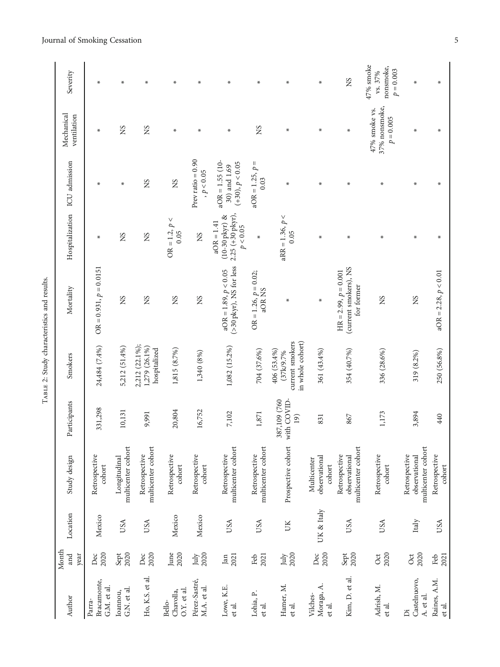TABLE 2: Study characteristics and results. TABLE 2: Study characteristics and results.

| Author                               | Month<br>and        | Location   | Study design                                         | Participants                        | Smokers                                                         | Mortality                                                     | Hospitalization ICU admission                                      |                                                        | Mechanical<br>ventilation                     | Severity                                         |
|--------------------------------------|---------------------|------------|------------------------------------------------------|-------------------------------------|-----------------------------------------------------------------|---------------------------------------------------------------|--------------------------------------------------------------------|--------------------------------------------------------|-----------------------------------------------|--------------------------------------------------|
| Bracamonte,<br>G.M. et al.<br>Parra- | 2020<br>year<br>Dec | Mexico     | Retrospective<br>cohort                              | 331,298                             | 24,484 (7.4%)                                                   | $OR = 0.931, p = 0.0151$                                      | $\pmb{\times}$                                                     | *                                                      | $\ast$                                        | $\star$                                          |
| G.N. et al.<br>Ioannou,              | 2020<br>Sept        | USA        | multicenter cohort<br>Longitudinal                   | 10,131                              | 5,212 (51.4%)                                                   | ΣŚ                                                            | SN                                                                 | $\ast$                                                 | SN                                            | $\ast$                                           |
| Ho, K.S. et al.                      | 2020<br>Dec         | USA        | multicenter cohort<br>Retrospective                  | 9,991                               | 2,212 (22.1%);<br>1,279 (26.1%)<br>hospitalized                 | SN                                                            | SN                                                                 | SN                                                     | SN                                            | ₩                                                |
| O.Y. et al.<br>Chavolla,<br>Bello-   | 2020<br>June        | Mexico     | Retrospective<br>cohort                              | 20,804                              | 1,815 (8.7%)                                                    | SN                                                            | $\text{OR} = 1.2, \, p <$<br>0.05                                  | SN                                                     | $\pmb{\times}$                                | $\ast$                                           |
| Pérez-Sastré,<br>M.A. et al.         | 2020<br>July        | Mexico     | Retrospective<br>cohort                              | 16,752                              | 1,340 (8%)                                                      | SN                                                            | SN                                                                 | Prev ratio $= 0.90$<br>, $p<0.05$                      | ∗                                             | ∗                                                |
| Lowe, K.E.<br>et al.                 | 2021<br>Jan         | USA        | multicenter cohort<br>Retrospective                  | $7,102$                             | 1,082 (15.2%)                                                   | (>30 pkyr), NS for less<br>$aOR = 1.89, p < 0.05$             | $2.25 (+30 pkyr),$<br>$(10-30$ pkyr) &<br>$aOR = 1.41$<br>p < 0.05 | $aOR = 1.55(10 -$<br>$(+30), p < 0.05$<br>30) and 1.69 | ₩                                             | $\ast$                                           |
| Lohia, P.<br>et al.                  | 2021<br>Feb         | USA        | multicenter cohort<br>Retrospective                  | 1,871                               | 704 (37.6%)                                                     | $OR = 1.26, p = 0.02;$<br>aOR NS                              | ₩                                                                  | $aOR = 1.25, p =$<br>0.03                              | SN                                            | ₩                                                |
| Hamer, M.<br>et al.                  | 2020<br>July        | UK         | Prospective cohort                                   | 387,109 (760<br>with COVID-<br>(61) | current smokers<br>in whole cohort)<br>406 (53.4%)<br>(37k/9.7% | *                                                             | $aRR = 1.36, p <$<br>0.05                                          | ∗                                                      | ∗                                             | ∗                                                |
| Moraga, A.<br>Vilches-<br>et al.     | 2020<br>Dec         | UK & Italy | observational<br>Multicenter<br>cohort               | 831                                 | 361 (43.4%)                                                     | ₩                                                             | ₩                                                                  | ₩                                                      | ₩                                             | $\ast$                                           |
| Kim, D. et al.                       | 2020<br>Sept        | USA        | multicenter cohort<br>Retrospective<br>observational | 867                                 | 354 (40.7%)                                                     | (current smokers), NS<br>$HR = 2.99, p = 0.001$<br>for former | ₩                                                                  | ₩                                                      | $\ast$                                        | SN                                               |
| Adrish, M.<br>et al.                 | 2020<br>Oct         | USA        | Retrospective<br>cohort                              | 1,173                               | 336 (28.6%)                                                     | SN                                                            | ∗                                                                  | ∗                                                      | 37% nonsmoke,<br>47% smoke vs.<br>$p = 0.005$ | 47% smoke<br>nonsmoke,<br>$p = 0.003$<br>vs. 37% |
| Castelnuovo,<br>A. et al.<br>Ä       | 2020<br>Oct         | Italy      | multicenter cohort<br>Retrospective<br>observational | 3,894                               | 319 (8.2%)                                                      | SN                                                            | $\ast$                                                             | $\ast$                                                 | ∗                                             | $\ast$                                           |
| Raines, A.M.<br>et al.               | Feb<br>2021         | USA        | Retrospective<br>cohort                              | 440                                 | 250 (56.8%)                                                     | $aOR = 2.28, p < 0.01$                                        | ₩                                                                  | ₩                                                      | $\ast$                                        | $\ast$                                           |

## <span id="page-5-0"></span>Journal of Smoking Cessation 5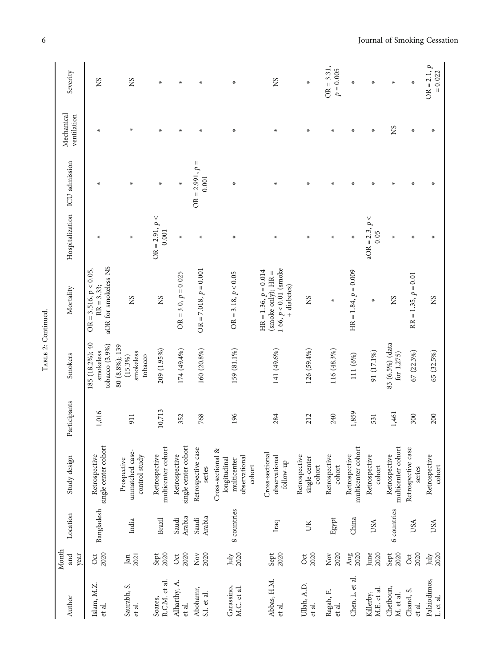| Author                    | Month<br>year<br>and                                   | Location        | Study design                                                                | Participants | Smokers                                              | Mortality                                                                                | Hospitalization ICU admission |                            | Mechanical<br>ventilation | Severity                    |
|---------------------------|--------------------------------------------------------|-----------------|-----------------------------------------------------------------------------|--------------|------------------------------------------------------|------------------------------------------------------------------------------------------|-------------------------------|----------------------------|---------------------------|-----------------------------|
| Islam, M.Z.<br>et al.     | 2020<br>$\cot$                                         | Bangladesh      | single center cohort<br>Retrospective                                       | 1,016        | 185 (18.2%); 40<br>tobacco (3.9%)<br>smokeless       | aOR for smokeless NS<br>$OR = 3.516, p < 0.05,$<br>$RR = 3.33;$                          | ∗                             | $\pmb{\times}$             | ∗                         | SN                          |
| Saurabh, S.<br>et al.     | 2021<br>Jan                                            | India           | unmatched case-<br>control study<br>Prospective                             | 911          | 80 (8.8%); 139<br>smokeless<br>tobacco<br>$(15.3\%)$ | SN                                                                                       | $\ast$                        | $\star$                    | ₩                         | SN                          |
| R.C.M. et al.<br>Soares,  | Sept<br>2020                                           | Brazil          | multicenter cohort<br>Retrospective                                         | 10,713       | 209 (1.95%)                                          | SN                                                                                       | $OR = 2.91, p <$<br>0.001     | ∗                          | ∗                         | ₩                           |
| Alharthy, A.<br>et al.    | 2020<br>Oct                                            | Arabia<br>Saudi | single center cohort<br>Retrospective                                       | 352          | 174 (49.4%)                                          | $OR = 3.0, p = 0.025$                                                                    | $\pmb{\times}$                | ∗                          | $\ast$                    | ∗                           |
| Abohamr,<br>S.I. et al.   | 2020<br>$_{\rm Nov}$                                   | Arabia<br>Saudi | Retrospective case<br>series                                                | 768          | 160 (20.8%)                                          | $OR = 7.018, p = 0.001$                                                                  | ₩                             | $OR = 2.991, p =$<br>0.001 | $\pmb{\times}$            | ∗                           |
| Garassino,<br>M.C. et al. | 2020<br>July                                           | 8 countries     | Cross-sectional &<br>observational<br>longitudinal<br>multicenter<br>cohort | 196          | 159 (81.1%)                                          | $OR = 3.18, p < 0.05$                                                                    | $\ast$                        | ₩                          | $\ast$                    | $\ast$                      |
| Abbas, H.M.<br>et al.     | Sept<br>2020                                           | Iraq            | Cross-sectional<br>observational<br>follow-up                               | 284          | 141 (49.6%)                                          | $1.66, p < 0.01$ (smoke<br>$HR = 1.36, p = 0.014$<br>(smoke only); $HR =$<br>+ diabetes) | ₩                             | *                          | ∗                         | SN                          |
| Ullah, A.D.<br>et al.     | 2020<br>$\cot$                                         | ĎК              | Retrospective<br>single-center<br>cohort                                    | 212          | 126 (59.4%)                                          | SN                                                                                       | ₩                             | ∗                          | ∗                         | ∗                           |
| Ragab, E.<br>et al.       | 2020<br>$\stackrel{\textstyle\sim}{\phantom{}_{\sim}}$ | Egypt           | Retrospective<br>cohort                                                     | 240          | 116 (48.3%)                                          | ₩                                                                                        | ∗                             | ∗                          | ∗                         | $OR = 3.31,$<br>$p = 0.005$ |
| Chen, L. et al.           | $\frac{\text{Aug}}{2020}$                              | China           | multicenter cohort<br>Retrospective                                         | 1,859        | 111 (6%)                                             | $HR = 1.84, p = 0.009$                                                                   | ∗                             | $\ast$                     | ₩                         | ₩                           |
| M.E. et al.<br>Killerby,  | June<br>2020                                           | USA             | Retrospective<br>cohort                                                     | 531          | 91 (17.1%)                                           | ∗                                                                                        | $aOR = 2.3, p <$<br>0.05      | $\ast$                     | ∗                         | ∗                           |
| Chetboun,<br>M. et al.    | 2020<br>Sept                                           | 6 countries     | multicenter cohort<br>Retrospective                                         | 1,461        | 83 (6.5%) (data<br>for 1,275)                        | SN                                                                                       | ₩                             | $\star$                    | SN                        | $\ast$                      |
| Chand, S.<br>et al.       | 2020<br>Oct                                            | USA             | Retrospective case<br>series                                                | 300          | 67 (22.3%)                                           | $RR = 1.35, p = 0.01$                                                                    | $\ast$                        | $\pmb{\times}$             | $\pmb{\times}$            | $\ast$                      |
| Palaiodimos,<br>L. et al. | 2020<br>July                                           | USA             | Retrospective<br>cohort                                                     | 200          | 65 (32.5%)                                           | SN                                                                                       |                               |                            | ÷.                        | $OR = 2.1, p$<br>$= 0.022$  |

TABLE 2: Continued. TABLE 2: Continued.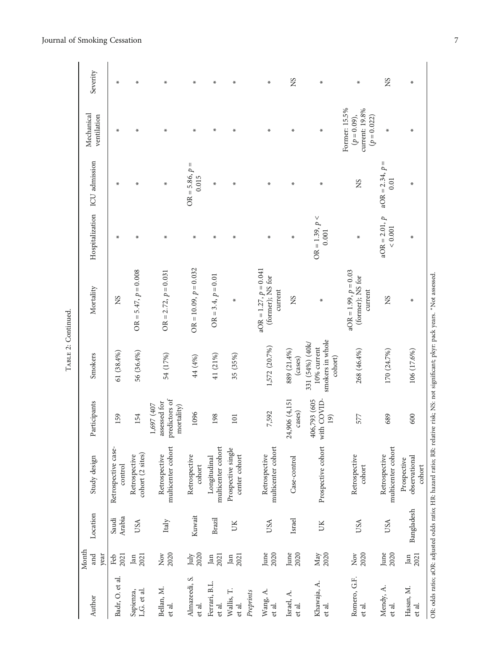| í |
|---|
| I |

| SN<br>SN<br>₩<br>$\ast$<br>₩<br>$\ast$<br>$\star$<br>∗<br>∗<br>∗<br>₩<br>₩<br>Former: 15.5%<br>current: 19.8%<br>$(p = 0.09),$<br>ventilation<br>$(p = 0.022)$<br>₩<br>∗<br>₩<br>∗<br>∗<br>∗<br>ж<br>∗<br>⊀<br>$\ast$<br>ж<br>Hospitalization ICU admission<br>$aOR = 2.34, p =$<br>$OR = 5.86, p =$<br>0.015<br>0.01<br>SN<br>∗<br>∗<br>₩<br>₩<br>₩<br>$\ast$<br>$\ast$<br>$\star$<br>$\ast$<br>$OR = 1.39, p <$<br>$aOR = 2.01, p$<br>${}_{<0.001}$<br>0.001<br>₩<br>₩<br>₩<br>$\ast$<br>$\star$<br>∗<br>$\pmb{\times}$<br>$\star$<br>₩<br>₩<br>$OR = 10.09, p = 0.032$<br>$aOR = 1.27, p = 0.041$<br>$OR = 5.47, p = 0.008$<br>$aOR = 1.99, p = 0.03$<br>$OR = 2.72$ , $p = 0.031$<br>$OR = 3.4, p = 0.01$<br>(former); NS for<br>(former); NS for<br>current<br>current<br>ΧS<br>ΣX<br>SN<br>∗<br>$\ast$<br>smokers in whole<br>331 (54%) (40k/<br>1,572 (20.7%)<br>$10\%$ current<br>889 (21.4%)<br>268 (46.4%)<br>170 (24.7%)<br>106 (17.6%)<br>56 (36.4%)<br>$61(38.4\%)$<br>54 (17%)<br>41 (21%)<br>35 (35%)<br>44 (4%)<br>cohort)<br>(cases)<br>7,592<br>1096<br>154<br>689<br>600<br>159<br>198<br>577<br>(61)<br>101 | Location                                             |                                                           |         |           |  | Mechanical |          |
|---------------------------------------------------------------------------------------------------------------------------------------------------------------------------------------------------------------------------------------------------------------------------------------------------------------------------------------------------------------------------------------------------------------------------------------------------------------------------------------------------------------------------------------------------------------------------------------------------------------------------------------------------------------------------------------------------------------------------------------------------------------------------------------------------------------------------------------------------------------------------------------------------------------------------------------------------------------------------------------------------------------------------------------------------------------------------------------------------------------------------------|------------------------------------------------------|-----------------------------------------------------------|---------|-----------|--|------------|----------|
|                                                                                                                                                                                                                                                                                                                                                                                                                                                                                                                                                                                                                                                                                                                                                                                                                                                                                                                                                                                                                                                                                                                                 | Study design                                         | Participants                                              | Smokers | Mortality |  |            | Severity |
|                                                                                                                                                                                                                                                                                                                                                                                                                                                                                                                                                                                                                                                                                                                                                                                                                                                                                                                                                                                                                                                                                                                                 | Retrospective case-<br>control                       |                                                           |         |           |  |            |          |
|                                                                                                                                                                                                                                                                                                                                                                                                                                                                                                                                                                                                                                                                                                                                                                                                                                                                                                                                                                                                                                                                                                                                 | cohort (2 sites)<br>Retrospective                    |                                                           |         |           |  |            |          |
|                                                                                                                                                                                                                                                                                                                                                                                                                                                                                                                                                                                                                                                                                                                                                                                                                                                                                                                                                                                                                                                                                                                                 | multicenter cohort<br>Retrospective                  | predictors of<br>assessed for<br>1,697 (407<br>mortality) |         |           |  |            |          |
|                                                                                                                                                                                                                                                                                                                                                                                                                                                                                                                                                                                                                                                                                                                                                                                                                                                                                                                                                                                                                                                                                                                                 | Retrospective<br>cohort                              |                                                           |         |           |  |            |          |
|                                                                                                                                                                                                                                                                                                                                                                                                                                                                                                                                                                                                                                                                                                                                                                                                                                                                                                                                                                                                                                                                                                                                 | multicenter cohort<br>Longitudinal                   |                                                           |         |           |  |            |          |
|                                                                                                                                                                                                                                                                                                                                                                                                                                                                                                                                                                                                                                                                                                                                                                                                                                                                                                                                                                                                                                                                                                                                 | Prospective single<br>center cohort                  |                                                           |         |           |  |            |          |
|                                                                                                                                                                                                                                                                                                                                                                                                                                                                                                                                                                                                                                                                                                                                                                                                                                                                                                                                                                                                                                                                                                                                 | multicenter cohort<br>Retrospective                  |                                                           |         |           |  |            |          |
|                                                                                                                                                                                                                                                                                                                                                                                                                                                                                                                                                                                                                                                                                                                                                                                                                                                                                                                                                                                                                                                                                                                                 | Case-control                                         | 24,906 (4,151<br>cases)                                   |         |           |  |            |          |
|                                                                                                                                                                                                                                                                                                                                                                                                                                                                                                                                                                                                                                                                                                                                                                                                                                                                                                                                                                                                                                                                                                                                 | Prospective cohort                                   | 406,793 (605<br>with COVID                                |         |           |  |            |          |
|                                                                                                                                                                                                                                                                                                                                                                                                                                                                                                                                                                                                                                                                                                                                                                                                                                                                                                                                                                                                                                                                                                                                 | Retrospective<br>cohort                              |                                                           |         |           |  |            |          |
|                                                                                                                                                                                                                                                                                                                                                                                                                                                                                                                                                                                                                                                                                                                                                                                                                                                                                                                                                                                                                                                                                                                                 | multicenter cohort<br>Retrospective                  |                                                           |         |           |  |            |          |
|                                                                                                                                                                                                                                                                                                                                                                                                                                                                                                                                                                                                                                                                                                                                                                                                                                                                                                                                                                                                                                                                                                                                 | observational<br>Prospective<br>cohort<br>Bangladesh |                                                           |         |           |  |            |          |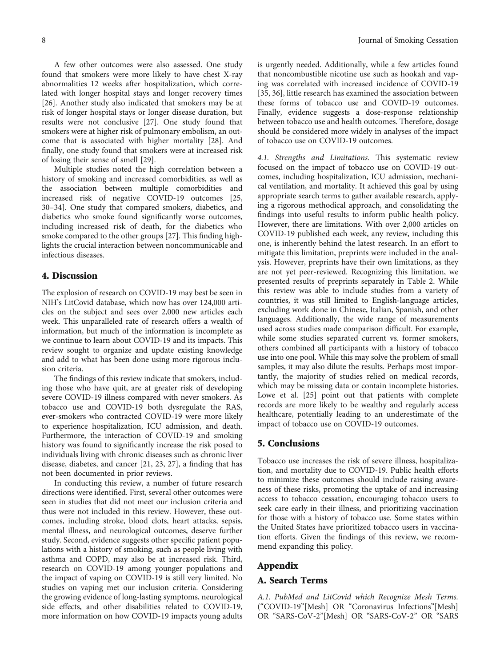A few other outcomes were also assessed. One study found that smokers were more likely to have chest X-ray abnormalities 12 weeks after hospitalization, which correlated with longer hospital stays and longer recovery times [\[26](#page-10-0)]. Another study also indicated that smokers may be at risk of longer hospital stays or longer disease duration, but results were not conclusive [\[27\]](#page-10-0). One study found that smokers were at higher risk of pulmonary embolism, an outcome that is associated with higher mortality [\[28\]](#page-10-0). And finally, one study found that smokers were at increased risk of losing their sense of smell [[29](#page-10-0)].

Multiple studies noted the high correlation between a history of smoking and increased comorbidities, as well as the association between multiple comorbidities and increased risk of negative COVID-19 outcomes [\[25,](#page-10-0) [30](#page-10-0)–[34](#page-10-0)]. One study that compared smokers, diabetics, and diabetics who smoke found significantly worse outcomes, including increased risk of death, for the diabetics who smoke compared to the other groups [\[27](#page-10-0)]. This finding highlights the crucial interaction between noncommunicable and infectious diseases.

### 4. Discussion

The explosion of research on COVID-19 may best be seen in NIH's LitCovid database, which now has over 124,000 articles on the subject and sees over 2,000 new articles each week. This unparalleled rate of research offers a wealth of information, but much of the information is incomplete as we continue to learn about COVID-19 and its impacts. This review sought to organize and update existing knowledge and add to what has been done using more rigorous inclusion criteria.

The findings of this review indicate that smokers, including those who have quit, are at greater risk of developing severe COVID-19 illness compared with never smokers. As tobacco use and COVID-19 both dysregulate the RAS, ever-smokers who contracted COVID-19 were more likely to experience hospitalization, ICU admission, and death. Furthermore, the interaction of COVID-19 and smoking history was found to significantly increase the risk posed to individuals living with chronic diseases such as chronic liver disease, diabetes, and cancer [\[21,](#page-9-0) [23, 27\]](#page-10-0), a finding that has not been documented in prior reviews.

In conducting this review, a number of future research directions were identified. First, several other outcomes were seen in studies that did not meet our inclusion criteria and thus were not included in this review. However, these outcomes, including stroke, blood clots, heart attacks, sepsis, mental illness, and neurological outcomes, deserve further study. Second, evidence suggests other specific patient populations with a history of smoking, such as people living with asthma and COPD, may also be at increased risk. Third, research on COVID-19 among younger populations and the impact of vaping on COVID-19 is still very limited. No studies on vaping met our inclusion criteria. Considering the growing evidence of long-lasting symptoms, neurological side effects, and other disabilities related to COVID-19, more information on how COVID-19 impacts young adults is urgently needed. Additionally, while a few articles found that noncombustible nicotine use such as hookah and vaping was correlated with increased incidence of COVID-19 [\[35](#page-10-0), [36](#page-10-0)], little research has examined the association between these forms of tobacco use and COVID-19 outcomes. Finally, evidence suggests a dose-response relationship between tobacco use and health outcomes. Therefore, dosage should be considered more widely in analyses of the impact of tobacco use on COVID-19 outcomes.

4.1. Strengths and Limitations. This systematic review focused on the impact of tobacco use on COVID-19 outcomes, including hospitalization, ICU admission, mechanical ventilation, and mortality. It achieved this goal by using appropriate search terms to gather available research, applying a rigorous methodical approach, and consolidating the findings into useful results to inform public health policy. However, there are limitations. With over 2,000 articles on COVID-19 published each week, any review, including this one, is inherently behind the latest research. In an effort to mitigate this limitation, preprints were included in the analysis. However, preprints have their own limitations, as they are not yet peer-reviewed. Recognizing this limitation, we presented results of preprints separately in Table [2.](#page-5-0) While this review was able to include studies from a variety of countries, it was still limited to English-language articles, excluding work done in Chinese, Italian, Spanish, and other languages. Additionally, the wide range of measurements used across studies made comparison difficult. For example, while some studies separated current vs. former smokers, others combined all participants with a history of tobacco use into one pool. While this may solve the problem of small samples, it may also dilute the results. Perhaps most importantly, the majority of studies relied on medical records, which may be missing data or contain incomplete histories. Lowe et al. [\[25\]](#page-10-0) point out that patients with complete records are more likely to be wealthy and regularly access healthcare, potentially leading to an underestimate of the impact of tobacco use on COVID-19 outcomes.

#### 5. Conclusions

Tobacco use increases the risk of severe illness, hospitalization, and mortality due to COVID-19. Public health efforts to minimize these outcomes should include raising awareness of these risks, promoting the uptake of and increasing access to tobacco cessation, encouraging tobacco users to seek care early in their illness, and prioritizing vaccination for those with a history of tobacco use. Some states within the United States have prioritized tobacco users in vaccination efforts. Given the findings of this review, we recommend expanding this policy.

## Appendix

### A. Search Terms

A.1. PubMed and LitCovid which Recognize Mesh Terms. ("COVID-19"[Mesh] OR "Coronavirus Infections"[Mesh] OR "SARS-CoV-2"[Mesh] OR "SARS-CoV-2" OR "SARS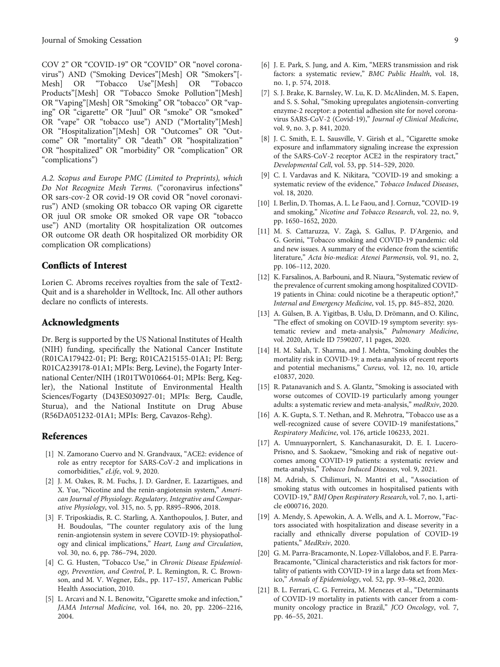<span id="page-9-0"></span>COV 2" OR "COVID-19" OR "COVID" OR "novel coronavirus") AND ("Smoking Devices"[Mesh] OR "Smokers"[-<br>Mesh] OR "Tobacco Use"[Mesh] OR "Tobacco Mesh] OR "Tobacco Use"[Mesh] OR "Tobacco Products"[Mesh] OR "Tobacco Smoke Pollution"[Mesh] OR "Vaping"[Mesh] OR "Smoking" OR "tobacco" OR "vaping" OR "cigarette" OR "Juul" OR "smoke" OR "smoked" OR "vape" OR "tobacco use") AND ("Mortality"[Mesh] OR "Hospitalization"[Mesh] OR "Outcomes" OR "Outcome" OR "mortality" OR "death" OR "hospitalization" OR "hospitalized" OR "morbidity" OR "complication" OR "complications")

A.2. Scopus and Europe PMC (Limited to Preprints), which Do Not Recognize Mesh Terms. ("coronavirus infections" OR sars-cov-2 OR covid-19 OR covid OR "novel coronavirus") AND (smoking OR tobacco OR vaping OR cigarette OR juul OR smoke OR smoked OR vape OR "tobacco use") AND (mortality OR hospitalization OR outcomes OR outcome OR death OR hospitalized OR morbidity OR complication OR complications)

## Conflicts of Interest

Lorien C. Abroms receives royalties from the sale of Text2- Quit and is a shareholder in Welltock, Inc. All other authors declare no conflicts of interests.

## Acknowledgments

Dr. Berg is supported by the US National Institutes of Health (NIH) funding, specifically the National Cancer Institute (R01CA179422-01; PI: Berg; R01CA215155-01A1; PI: Berg; R01CA239178-01A1; MPIs: Berg, Levine), the Fogarty International Center/NIH (1R01TW010664-01; MPIs: Berg, Kegler), the National Institute of Environmental Health Sciences/Fogarty (D43ES030927-01; MPIs: Berg, Caudle, Sturua), and the National Institute on Drug Abuse (R56DA051232-01A1; MPIs: Berg, Cavazos-Rehg).

## References

- [1] N. Zamorano Cuervo and N. Grandvaux, "ACE2: evidence of role as entry receptor for SARS-CoV-2 and implications in comorbidities," eLife, vol. 9, 2020.
- [2] J. M. Oakes, R. M. Fuchs, J. D. Gardner, E. Lazartigues, and X. Yue, "Nicotine and the renin-angiotensin system," American Journal of Physiology. Regulatory, Integrative and Comparative Physiology, vol. 315, no. 5, pp. R895–R906, 2018.
- [3] F. Triposkiadis, R. C. Starling, A. Xanthopoulos, J. Buter, and H. Boudoulas, "The counter regulatory axis of the lung renin-angiotensin system in severe COVID-19: physiopathology and clinical implications," Heart, Lung and Circulation, vol. 30, no. 6, pp. 786–794, 2020.
- [4] C. G. Husten, "Tobacco Use," in Chronic Disease Epidemiology, Prevention, and Control, P. L. Remington, R. C. Brownson, and M. V. Wegner, Eds., pp. 117–157, American Public Health Association, 2010.
- [5] L. Arcavi and N. L. Benowitz, "Cigarette smoke and infection," JAMA Internal Medicine, vol. 164, no. 20, pp. 2206–2216, 2004.
- [6] J. E. Park, S. Jung, and A. Kim, "MERS transmission and risk factors: a systematic review," BMC Public Health, vol. 18, no. 1, p. 574, 2018.
- [7] S. J. Brake, K. Barnsley, W. Lu, K. D. McAlinden, M. S. Eapen, and S. S. Sohal, "Smoking upregulates angiotensin-converting enzyme-2 receptor: a potential adhesion site for novel coronavirus SARS-CoV-2 (Covid-19)," Journal of Clinical Medicine, vol. 9, no. 3, p. 841, 2020.
- [8] J. C. Smith, E. L. Sausville, V. Girish et al., "Cigarette smoke exposure and inflammatory signaling increase the expression of the SARS-CoV-2 receptor ACE2 in the respiratory tract," Developmental Cell, vol. 53, pp. 514–529, 2020.
- [9] C. I. Vardavas and K. Nikitara, "COVID-19 and smoking: a systematic review of the evidence," Tobacco Induced Diseases, vol. 18, 2020.
- [10] I. Berlin, D. Thomas, A. L. Le Faou, and J. Cornuz, "COVID-19 and smoking," Nicotine and Tobacco Research, vol. 22, no. 9, pp. 1650–1652, 2020.
- [11] M. S. Cattaruzza, V. Zagà, S. Gallus, P. D'Argenio, and G. Gorini, "Tobacco smoking and COVID-19 pandemic: old and new issues. A summary of the evidence from the scientific literature," Acta bio-medica: Atenei Parmensis, vol. 91, no. 2, pp. 106–112, 2020.
- [12] K. Farsalinos, A. Barbouni, and R. Niaura, "Systematic review of the prevalence of current smoking among hospitalized COVID-19 patients in China: could nicotine be a therapeutic option?," Internal and Emergency Medicine, vol. 15, pp. 845–852, 2020.
- [13] A. Gülsen, B. A. Yigitbas, B. Uslu, D. Drömann, and O. Kilinc, "The effect of smoking on COVID-19 symptom severity: systematic review and meta-analysis," Pulmonary Medicine, vol. 2020, Article ID 7590207, 11 pages, 2020.
- [14] H. M. Salah, T. Sharma, and J. Mehta, "Smoking doubles the mortality risk in COVID-19: a meta-analysis of recent reports and potential mechanisms," Cureus, vol. 12, no. 10, article e10837, 2020.
- [15] R. Patanavanich and S. A. Glantz, "Smoking is associated with worse outcomes of COVID-19 particularly among younger adults: a systematic review and meta-analysis," medRxiv, 2020.
- [16] A. K. Gupta, S. T. Nethan, and R. Mehrotra, "Tobacco use as a well-recognized cause of severe COVID-19 manifestations," Respiratory Medicine, vol. 176, article 106233, 2021.
- [17] A. Umnuaypornlert, S. Kanchanasurakit, D. E. I. Lucero-Prisno, and S. Saokaew, "Smoking and risk of negative outcomes among COVID-19 patients: a systematic review and meta-analysis," Tobacco Induced Diseases, vol. 9, 2021.
- [18] M. Adrish, S. Chilimuri, N. Mantri et al., "Association of smoking status with outcomes in hospitalised patients with COVID-19," BMJ Open Respiratory Research, vol. 7, no. 1, article e000716, 2020.
- [19] A. Mendy, S. Apewokin, A. A. Wells, and A. L. Morrow, "Factors associated with hospitalization and disease severity in a racially and ethnically diverse population of COVID-19 patients," MedRxiv, 2020.
- [20] G. M. Parra-Bracamonte, N. Lopez-Villalobos, and F. E. Parra-Bracamonte, "Clinical characteristics and risk factors for mortality of patients with COVID-19 in a large data set from Mexico," Annals of Epidemiology, vol. 52, pp. 93–98.e2, 2020.
- [21] B. L. Ferrari, C. G. Ferreira, M. Menezes et al., "Determinants of COVID-19 mortality in patients with cancer from a community oncology practice in Brazil," JCO Oncology, vol. 7, pp. 46–55, 2021.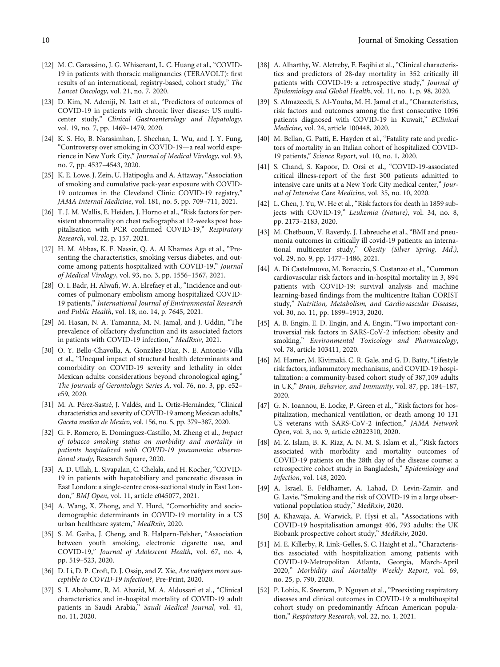- <span id="page-10-0"></span>[22] M. C. Garassino, J. G. Whisenant, L. C. Huang et al., "COVID-19 in patients with thoracic malignancies (TERAVOLT): first results of an international, registry-based, cohort study," The Lancet Oncology, vol. 21, no. 7, 2020.
- [23] D. Kim, N. Adeniji, N. Latt et al., "Predictors of outcomes of COVID-19 in patients with chronic liver disease: US multicenter study," Clinical Gastroenterology and Hepatology, vol. 19, no. 7, pp. 1469–1479, 2020.
- [24] K. S. Ho, B. Narasimhan, J. Sheehan, L. Wu, and J. Y. Fung, "Controversy over smoking in COVID-19—a real world experience in New York City," Journal of Medical Virology, vol. 93, no. 7, pp. 4537–4543, 2020.
- [25] K. E. Lowe, J. Zein, U. Hatipoglu, and A. Attaway, "Association of smoking and cumulative pack-year exposure with COVID-19 outcomes in the Cleveland Clinic COVID-19 registry," JAMA Internal Medicine, vol. 181, no. 5, pp. 709–711, 2021.
- [26] T. J. M. Wallis, E. Heiden, J. Horno et al., "Risk factors for persistent abnormality on chest radiographs at 12-weeks post hospitalisation with PCR confirmed COVID-19," Respiratory Research, vol. 22, p. 157, 2021.
- [27] H. M. Abbas, K. F. Nassir, Q. A. Al Khames Aga et al., "Presenting the characteristics, smoking versus diabetes, and outcome among patients hospitalized with COVID-19," Journal of Medical Virology, vol. 93, no. 3, pp. 1556–1567, 2021.
- [28] O. I. Badr, H. Alwafi, W. A. Elrefaey et al., "Incidence and outcomes of pulmonary embolism among hospitalized COVID-19 patients," International Journal of Environmental Research and Public Health, vol. 18, no. 14, p. 7645, 2021.
- [29] M. Hasan, N. A. Tamanna, M. N. Jamal, and J. Uddin, "The prevalence of olfactory dysfunction and its associated factors in patients with COVID-19 infection," MedRxiv, 2021.
- [30] O. Y. Bello-Chavolla, A. González-Díaz, N. E. Antonio-Villa et al., "Unequal impact of structural health determinants and comorbidity on COVID-19 severity and lethality in older Mexican adults: considerations beyond chronological aging," The Journals of Gerontology: Series A, vol. 76, no. 3, pp. e52– e59, 2020.
- [31] M. A. Pérez-Sastré, J. Valdés, and L. Ortiz-Hernández, "Clinical characteristics and severity of COVID-19 among Mexican adults," Gaceta medica de Mexico, vol. 156, no. 5, pp. 379–387, 2020.
- [32] G. F. Romero, E. Dominguez-Castillo, M. Zheng et al., *Impact* of tobacco smoking status on morbidity and mortality in patients hospitalized with COVID-19 pneumonia: observational study, Research Square, 2020.
- [33] A. D. Ullah, L. Sivapalan, C. Chelala, and H. Kocher, "COVID-19 in patients with hepatobiliary and pancreatic diseases in East London: a single-centre cross-sectional study in East London," BMJ Open, vol. 11, article e045077, 2021.
- [34] A. Wang, X. Zhong, and Y. Hurd, "Comorbidity and sociodemographic determinants in COVID-19 mortality in a US urban healthcare system," MedRxiv, 2020.
- [35] S. M. Gaiha, J. Cheng, and B. Halpern-Felsher, "Association between youth smoking, electronic cigarette use, and COVID-19," Journal of Adolescent Health, vol. 67, no. 4, pp. 519–523, 2020.
- [36] D. Li, D. P. Croft, D. J. Ossip, and Z. Xie, Are vabpers more susceptible to COVID-19 infection?, Pre-Print, 2020.
- [37] S. I. Abohamr, R. M. Abazid, M. A. Aldossari et al., "Clinical characteristics and in-hospital mortality of COVID-19 adult patients in Saudi Arabia," Saudi Medical Journal, vol. 41, no. 11, 2020.
- [38] A. Alharthy, W. Aletreby, F. Faqihi et al., "Clinical characteristics and predictors of 28-day mortality in 352 critically ill patients with COVID-19: a retrospective study," Journal of Epidemiology and Global Health, vol. 11, no. 1, p. 98, 2020.
- [39] S. Almazeedi, S. Al-Youha, M. H. Jamal et al., "Characteristics, risk factors and outcomes among the first consecutive 1096 patients diagnosed with COVID-19 in Kuwait," EClinical Medicine, vol. 24, article 100448, 2020.
- [40] M. Bellan, G. Patti, E. Hayden et al., "Fatality rate and predictors of mortality in an Italian cohort of hospitalized COVID-19 patients," Science Report, vol. 10, no. 1, 2020.
- [41] S. Chand, S. Kapoor, D. Orsi et al., "COVID-19-associated critical illness-report of the first 300 patients admitted to intensive care units at a New York City medical center," Journal of Intensive Care Medicine, vol. 35, no. 10, 2020.
- [42] L. Chen, J. Yu, W. He et al., "Risk factors for death in 1859 subjects with COVID-19," Leukemia (Nature), vol. 34, no. 8, pp. 2173–2183, 2020.
- [43] M. Chetboun, V. Raverdy, J. Labreuche et al., "BMI and pneumonia outcomes in critically ill covid-19 patients: an international multicenter study," Obesity (Silver Spring, Md.), vol. 29, no. 9, pp. 1477–1486, 2021.
- [44] A. Di Castelnuovo, M. Bonaccio, S. Costanzo et al., "Common cardiovascular risk factors and in-hospital mortality in 3, 894 patients with COVID-19: survival analysis and machine learning-based findings from the multicentre Italian CORIST study," Nutrition, Metabolism, and Cardiovascular Diseases, vol. 30, no. 11, pp. 1899–1913, 2020.
- [45] A. B. Engin, E. D. Engin, and A. Engin, "Two important controversial risk factors in SARS-CoV-2 infection: obesity and smoking," Environmental Toxicology and Pharmacology, vol. 78, article 103411, 2020.
- [46] M. Hamer, M. Kivimaki, C. R. Gale, and G. D. Batty, "Lifestyle risk factors, inflammatory mechanisms, and COVID-19 hospitalization: a community-based cohort study of 387,109 adults in UK," Brain, Behavior, and Immunity, vol. 87, pp. 184–187, 2020.
- [47] G. N. Ioannou, E. Locke, P. Green et al., "Risk factors for hospitalization, mechanical ventilation, or death among 10 131 US veterans with SARS-CoV-2 infection," JAMA Network Open, vol. 3, no. 9, article e2022310, 2020.
- [48] M. Z. Islam, B. K. Riaz, A. N. M. S. Islam et al., "Risk factors associated with morbidity and mortality outcomes of COVID-19 patients on the 28th day of the disease course: a retrospective cohort study in Bangladesh," Epidemiology and Infection, vol. 148, 2020.
- [49] A. Israel, E. Feldhamer, A. Lahad, D. Levin-Zamir, and G. Lavie, "Smoking and the risk of COVID-19 in a large observational population study," MedRxiv, 2020.
- [50] A. Khawaja, A. Warwick, P. Hysi et al., "Associations with COVID-19 hospitalisation amongst 406, 793 adults: the UK Biobank prospective cohort study," MedRxiv, 2020.
- [51] M. E. Killerby, R. Link-Gelles, S. C. Haight et al., "Characteristics associated with hospitalization among patients with COVID-19-Metropolitan Atlanta, Georgia, March-April 2020," Morbidity and Mortality Weekly Report, vol. 69, no. 25, p. 790, 2020.
- [52] P. Lohia, K. Sreeram, P. Nguyen et al., "Preexisting respiratory diseases and clinical outcomes in COVID-19: a multihospital cohort study on predominantly African American population," Respiratory Research, vol. 22, no. 1, 2021.